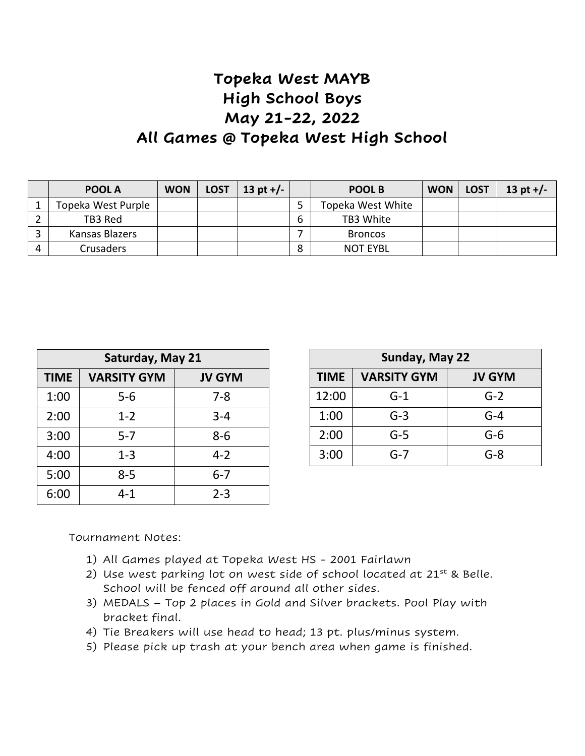## **Topeka West MAYB High School Boys May 21-22, 2022 All Games @ Topeka West High School**

|          | POOL A             | <b>WON</b> | <b>LOST</b> | 13 pt $+/-$ |   | POOL B            | <b>WON</b> | <b>LOST</b> | 13 pt $+/-$ |
|----------|--------------------|------------|-------------|-------------|---|-------------------|------------|-------------|-------------|
|          | Topeka West Purple |            |             |             |   | Topeka West White |            |             |             |
|          | TB3 Red            |            |             |             | 6 | TB3 White         |            |             |             |
|          | Kansas Blazers     |            |             |             |   | <b>Broncos</b>    |            |             |             |
| $\Delta$ | <b>Crusaders</b>   |            |             |             | 8 | <b>NOT EYBL</b>   |            |             |             |

| Saturday, May 21 |                    |               |  |  |  |  |  |
|------------------|--------------------|---------------|--|--|--|--|--|
| <b>TIME</b>      | <b>VARSITY GYM</b> | <b>JV GYM</b> |  |  |  |  |  |
| 1:00             | 5-6                | 7-8           |  |  |  |  |  |
| 2:00             | $1 - 2$            | $3 - 4$       |  |  |  |  |  |
| 3:00             | $5 - 7$            | $8 - 6$       |  |  |  |  |  |
| 4:00             | $1 - 3$            | $4 - 2$       |  |  |  |  |  |
| 5:00             | $8 - 5$            | $6 - 7$       |  |  |  |  |  |
| 6:00             | 4-1                | $2 - 3$       |  |  |  |  |  |

| Sunday, May 22 |                    |               |  |  |  |  |  |
|----------------|--------------------|---------------|--|--|--|--|--|
| <b>TIME</b>    | <b>VARSITY GYM</b> | <b>JV GYM</b> |  |  |  |  |  |
| 12:00          | $G-1$              | $G-2$         |  |  |  |  |  |
| 1:00           | $G-3$              | $G-4$         |  |  |  |  |  |
| 2:00           | $G-5$              | $G-6$         |  |  |  |  |  |
| 3:00           | G-7                | G-8           |  |  |  |  |  |

Tournament Notes:

- 1) All Games played at Topeka West HS 2001 Fairlawn
- 2) Use west parking lot on west side of school located at  $21^{st}$  & Belle. School will be fenced off around all other sides.
- 3) MEDALS Top 2 places in Gold and Silver brackets. Pool Play with bracket final.
- 4) Tie Breakers will use head to head; 13 pt. plus/minus system.
- 5) Please pick up trash at your bench area when game is finished.